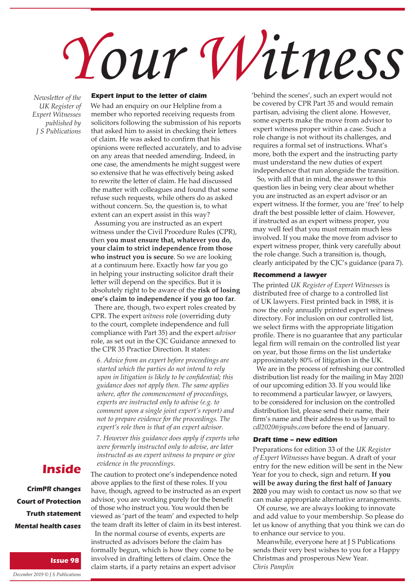# *Your Witness*

*Newsletter of the UK Register of Expert Witnesses published by J S Publications*

### **Expert input to the letter of claim**

We had an enquiry on our Helpline from a member who reported receiving requests from solicitors following the submission of his reports that asked him to assist in checking their letters of claim. He was asked to confirm that his opinions were reflected accurately, and to advise on any areas that needed amending. Indeed, in one case, the amendments he might suggest were so extensive that he was effectively being asked to rewrite the letter of claim. He had discussed the matter with colleagues and found that some refuse such requests, while others do as asked without concern. So, the question is, to what extent can an expert assist in this way?

Assuming you are instructed as an expert witness under the Civil Procedure Rules (CPR), then **you must ensure that, whatever you do, your claim to strict independence from those who instruct you is secure**. So we are looking at a continuum here. Exactly how far you go in helping your instructing solicitor draft their letter will depend on the specifics. But it is absolutely right to be aware of the **risk of losing one's claim to independence if you go too far**.

There are, though, two expert roles created by CPR. The expert *witness* role (overriding duty to the court, complete independence and full compliance with Part 35) and the expert *advisor* role, as set out in the CJC Guidance annexed to the CPR 35 Practice Direction. It states:

*6. Advice from an expert before proceedings are started which the parties do not intend to rely upon in litigation is likely to be confidential; this guidance does not apply then. The same applies where, after the commencement of proceedings, experts are instructed only to advise (e.g. to comment upon a single joint expert's report) and not to prepare evidence for the proceedings. The expert's role then is that of an expert advisor.*

*7. However this guidance does apply if experts who were formerly instructed only to advise, are later instructed as an expert witness to prepare or give evidence in the proceedings.*

**CrimPR changes Court of Protection Truth statement Mental health cases**

**Issue 98**

**Inside**

*December 2019 © J S Publications*

The caution to protect one's independence noted above applies to the first of these roles. If you have, though, agreed to be instructed as an expert advisor, you are working purely for the benefit of those who instruct you. You would then be viewed as 'part of the team' and expected to help the team draft its letter of claim in its best interest.

In the normal course of events, experts are instructed as advisors before the claim has formally begun, which is how they come to be involved in drafting letters of claim. Once the claim starts, if a party retains an expert advisor 'behind the scenes', such an expert would not be covered by CPR Part 35 and would remain partisan, advising the client alone. However, some experts make the move from advisor to expert witness proper within a case. Such a role change is not without its challenges, and requires a formal set of instructions. What's more, both the expert and the instructing party must understand the new duties of expert independence that run alongside the transition.

So, with all that in mind, the answer to this question lies in being very clear about whether you are instructed as an expert advisor or an expert witness. If the former, you are 'free' to help draft the best possible letter of claim. However, if instructed as an expert witness proper, you may well feel that you must remain much less involved. If you make the move from advisor to expert witness proper, think very carefully about the role change. Such a transition is, though, clearly anticipated by the CJC's guidance (para 7).

#### **Recommend a lawyer**

The printed *UK Register of Expert Witnesses* is distributed free of charge to a controlled list of UK lawyers. First printed back in 1988, it is now the only annually printed expert witness directory. For inclusion on our controlled list, we select firms with the appropriate litigation profile. There is no guarantee that any particular legal firm will remain on the controlled list year on year, but those firms on the list undertake approximately 80% of litigation in the UK.

We are in the process of refreshing our controlled distribution list ready for the mailing in May 2020 of our upcoming edition 33. If you would like to recommend a particular lawyer, or lawyers, to be considered for inclusion on the controlled distribution list, please send their name, their firm's name and their address to us by email to *cdl2020@jspubs.com* before the end of January.

#### **Draft time – new edition**

Preparations for edition 33 of the *UK Register of Expert Witnesses* have begun. A draft of your entry for the new edition will be sent in the New Year for you to check, sign and return. **If you will be away during the first half of January 2020** you may wish to contact us now so that we can make appropriate alternative arrangements.

Of course, we are always looking to innovate and add value to your membership. So please do let us know of anything that you think we can do to enhance our service to you.

Meanwhile, everyone here at J S Publications sends their very best wishes to you for a Happy Christmas and prosperous New Year. *Chris Pamplin*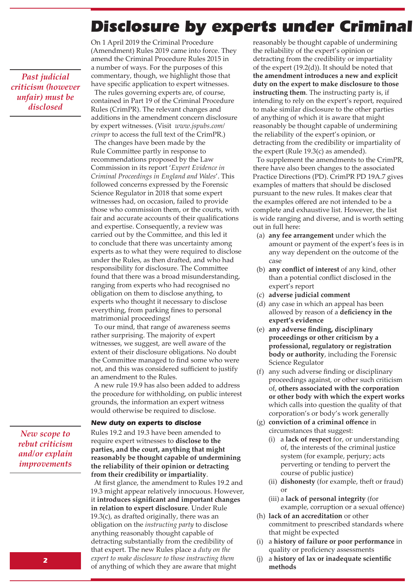# Disclosure by experts under Criminal

On 1 April 2019 the Criminal Procedure (Amendment) Rules 2019 came into force. They amend the Criminal Procedure Rules 2015 in a number of ways. For the purposes of this commentary, though, we highlight those that have specific application to expert witnesses.

The rules governing experts are, of course, contained in Part 19 of the Criminal Procedure Rules (CrimPR). The relevant changes and additions in the amendment concern disclosure by expert witnesses. (Visit *www.jspubs.com/ crimpr* to access the full text of the CrimPR.)

The changes have been made by the Rule Committee partly in response to recommendations proposed by the Law Commission in its report '*Expert Evidence in Criminal Proceedings in England and Wales*'. This followed concerns expressed by the Forensic Science Regulator in 2018 that some expert witnesses had, on occasion, failed to provide those who commission them, or the courts, with fair and accurate accounts of their qualifications and expertise. Consequently, a review was carried out by the Committee, and this led it to conclude that there was uncertainty among experts as to what they were required to disclose under the Rules, as then drafted, and who had responsibility for disclosure. The Committee found that there was a broad misunderstanding, ranging from experts who had recognised no obligation on them to disclose anything, to experts who thought it necessary to disclose everything, from parking fines to personal matrimonial proceedings!

To our mind, that range of awareness seems rather surprising. The majority of expert witnesses, we suggest, are well aware of the extent of their disclosure obligations. No doubt the Committee managed to find some who were not, and this was considered sufficient to justify an amendment to the Rules.

A new rule 19.9 has also been added to address the procedure for withholding, on public interest grounds, the information an expert witness would otherwise be required to disclose.

#### **New duty on experts to disclose**

*New scope to rebut criticism and/or explain improvements*

*Past judicial criticism (however unfair) must be disclosed* 

> Rules 19.2 and 19.3 have been amended to require expert witnesses to **disclose to the parties, and the court, anything that might reasonably be thought capable of undermining the reliability of their opinion or detracting from their credibility or impartiality**.

At first glance, the amendment to Rules 19.2 and 19.3 might appear relatively innocuous. However, it **introduces significant and important changes in relation to expert disclosure**. Under Rule  $19.3(c)$ , as drafted originally, there was an obligation on the *instructing party* to disclose anything reasonably thought capable of detracting substantially from the credibility of that expert. The new Rules place a *duty on the expert to make disclosure to those instructing them* of anything of which they are aware that might

reasonably be thought capable of undermining the reliability of the expert's opinion or detracting from the credibility or impartiality of the expert (19.2(d)). It should be noted that **the amendment introduces a new and explicit duty on the expert to make disclosure to those instructing them**. The instructing party is, if intending to rely on the expert's report, required to make similar disclosure to the other parties of anything of which it is aware that might reasonably be thought capable of undermining the reliability of the expert's opinion, or detracting from the credibility or impartiality of the expert (Rule 19.3(c) as amended).

To supplement the amendments to the CrimPR, there have also been changes to the associated Practice Directions (PD). CrimPR PD 19A.7 gives examples of matters that should be disclosed pursuant to the new rules. It makes clear that the examples offered are not intended to be a complete and exhaustive list. However, the list is wide ranging and diverse, and is worth setting out in full here:

- (a) **any fee arrangement** under which the amount or payment of the expert's fees is in any way dependent on the outcome of the case
- (b) **any conflict of interest** of any kind, other than a potential conflict disclosed in the expert's report
- (c) **adverse judicial comment**
- (d) any case in which an appeal has been allowed by reason of a **deficiency in the expert's evidence**
- (e) **any adverse finding, disciplinary proceedings or other criticism by a professional, regulatory or registration body or authority**, including the Forensic Science Regulator
- (f) any such adverse finding or disciplinary proceedings against, or other such criticism of, **others associated with the corporation or other body with which the expert works** which calls into question the quality of that corporation's or body's work generally
- (g) **conviction of a criminal offence** in circumstances that suggest:
	- (i) a **lack of respect** for, or understanding of, the interests of the criminal justice system (for example, perjury; acts perverting or tending to pervert the course of public justice)
	- (ii) **dishonesty** (for example, theft or fraud) or
	- (iii) a **lack of personal integrity** (for example, corruption or a sexual offence)
- (h) **lack of an accreditation** or other commitment to prescribed standards where that might be expected
- (i) a **history of failure or poor performance** in quality or proficiency assessments
- (j) a **history of lax or inadequate scientific methods**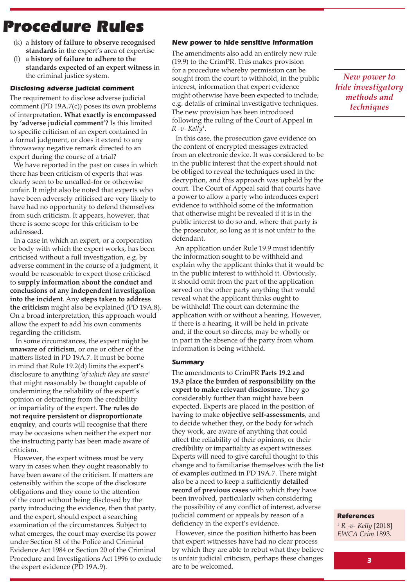# **Procedure Rules**

- (k) a **history of failure to observe recognised standards** in the expert's area of expertise
- (l) a **history of failure to adhere to the standards expected of an expert witness** in the criminal justice system.

### **Disclosing adverse judicial comment**

The requirement to disclose adverse judicial comment (PD 19A.7(c)) poses its own problems of interpretation. **What exactly is encompassed by 'adverse judicial comment'?** Is this limited to specific criticism of an expert contained in a formal judgment, or does it extend to any throwaway negative remark directed to an expert during the course of a trial?

We have reported in the past on cases in which there has been criticism of experts that was clearly seen to be uncalled-for or otherwise unfair. It might also be noted that experts who have been adversely criticised are very likely to have had no opportunity to defend themselves from such criticism. It appears, however, that there is some scope for this criticism to be addressed.

In a case in which an expert, or a corporation or body with which the expert works, has been criticised without a full investigation, e.g. by adverse comment in the course of a judgment, it would be reasonable to expect those criticised to **supply information about the conduct and conclusions of any independent investigation into the incident**. Any **steps taken to address the criticism** might also be explained (PD 19A.8). On a broad interpretation, this approach would allow the expert to add his own comments regarding the criticism.

 In some circumstances, the expert might be **unaware of criticism**, or one or other of the matters listed in PD 19A.7. It must be borne in mind that Rule 19.2(d) limits the expert's disclosure to anything '*of which they are aware*' that might reasonably be thought capable of undermining the reliability of the expert's opinion or detracting from the credibility or impartiality of the expert. **The rules do not require persistent or disproportionate enquiry**, and courts will recognise that there may be occasions when neither the expert nor the instructing party has been made aware of criticism.

However, the expert witness must be very wary in cases when they ought reasonably to have been aware of the criticism. If matters are ostensibly within the scope of the disclosure obligations and they come to the attention of the court without being disclosed by the party introducing the evidence, then that party, and the expert, should expect a searching examination of the circumstances. Subject to what emerges, the court may exercise its power under Section 81 of the Police and Criminal Evidence Act 1984 or Section 20 of the Criminal Procedure and Investigations Act 1996 to exclude the expert evidence (PD 19A.9).

### **New power to hide sensitive information**

The amendments also add an entirely new rule (19.9) to the CrimPR. This makes provision for a procedure whereby permission can be sought from the court to withhold, in the public interest, information that expert evidence might otherwise have been expected to include, e.g. details of criminal investigative techniques. The new provision has been introduced following the ruling of the Court of Appeal in *R -v- Kelly*<sup>1</sup> .

In this case, the prosecution gave evidence on the content of encrypted messages extracted from an electronic device. It was considered to be in the public interest that the expert should not be obliged to reveal the techniques used in the decryption, and this approach was upheld by the court. The Court of Appeal said that courts have a power to allow a party who introduces expert evidence to withhold some of the information that otherwise might be revealed if it is in the public interest to do so and, where that party is the prosecutor, so long as it is not unfair to the defendant.

An application under Rule 19.9 must identify the information sought to be withheld and explain why the applicant thinks that it would be in the public interest to withhold it. Obviously, it should omit from the part of the application served on the other party anything that would reveal what the applicant thinks ought to be withheld! The court can determine the application with or without a hearing. However, if there is a hearing, it will be held in private and, if the court so directs, may be wholly or in part in the absence of the party from whom information is being withheld.

#### **Summary**

The amendments to CrimPR **Parts 19.2 and 19.3 place the burden of responsibility on the expert to make relevant disclosure**. They go considerably further than might have been expected. Experts are placed in the position of having to make **objective self-assessments**, and to decide whether they, or the body for which they work, are aware of anything that could affect the reliability of their opinions, or their credibility or impartiality as expert witnesses. Experts will need to give careful thought to this change and to familiarise themselves with the list of examples outlined in PD 19A.7. There might also be a need to keep a sufficiently **detailed record of previous cases** with which they have been involved, particularly when considering the possibility of any conflict of interest, adverse judicial comment or appeals by reason of a deficiency in the expert's evidence.

However, since the position hitherto has been that expert witnesses have had no clear process by which they are able to rebut what they believe is unfair judicial criticism, perhaps these changes are to be welcomed.

*New power to hide investigatory methods and techniques*

### **References**

<sup>1</sup> *R -v- Kelly* [2018] *EWCA Crim* 1893.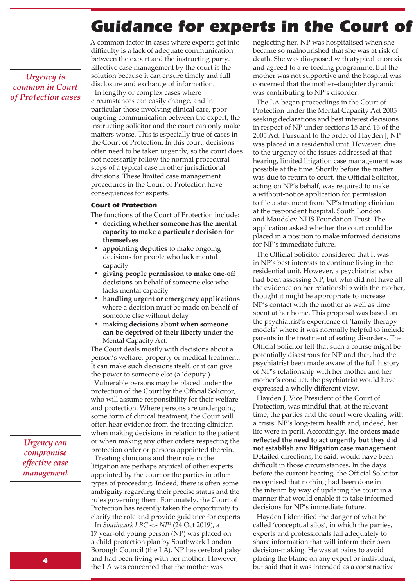# **Guidance for experts in the Court of**

*Urgency is common in Court of Protection cases* A common factor in cases where experts get into difficulty is a lack of adequate communication between the expert and the instructing party. Effective case management by the court is the solution because it can ensure timely and full disclosure and exchange of information. In lengthy or complex cases where circumstances can easily change, and in particular those involving clinical care, poor ongoing communication between the expert, the instructing solicitor and the court can only make matters worse. This is especially true of cases in the Court of Protection. In this court, decisions often need to be taken urgently, so the court does not necessarily follow the normal procedural steps of a typical case in other jurisdictional divisions. These limited case management procedures in the Court of Protection have

#### **Court of Protection**

consequences for experts.

The functions of the Court of Protection include:

- **• deciding whether someone has the mental capacity to make a particular decision for themselves**
- **• appointing deputies** to make ongoing decisions for people who lack mental capacity
- **• giving people permission to make one-off decisions** on behalf of someone else who lacks mental capacity
- **• handling urgent or emergency applications** where a decision must be made on behalf of someone else without delay
- **• making decisions about when someone can be deprived of their liberty** under the Mental Capacity Act.

The Court deals mostly with decisions about a person's welfare, property or medical treatment. It can make such decisions itself, or it can give the power to someone else (a 'deputy').

Vulnerable persons may be placed under the protection of the Court by the Official Solicitor, who will assume responsibility for their welfare and protection. Where persons are undergoing some form of clinical treatment, the Court will often hear evidence from the treating clinician when making decisions in relation to the patient or when making any other orders respecting the protection order or persons appointed therein.

Treating clinicians and their role in the litigation are perhaps atypical of other experts appointed by the court or the parties in other types of proceeding. Indeed, there is often some ambiguity regarding their precise status and the rules governing them. Fortunately, the Court of Protection has recently taken the opportunity to clarify the role and provide guidance for experts.

In *Southwark LBC -v- NP*<sup>1</sup> (24 Oct 2019), a 17 year-old young person (NP) was placed on a child protection plan by Southwark London Borough Council (the LA). NP has cerebral palsy and had been living with her mother. However, the LA was concerned that the mother was

neglecting her. NP was hospitalised when she became so malnourished that she was at risk of death. She was diagnosed with atypical anorexia and agreed to a re-feeding programme. But the mother was not supportive and the hospital was concerned that the mother–daughter dynamic was contributing to NP's disorder.

The LA began proceedings in the Court of Protection under the Mental Capacity Act 2005 seeking declarations and best interest decisions in respect of NP under sections 15 and 16 of the 2005 Act. Pursuant to the order of Hayden J, NP was placed in a residential unit. However, due to the urgency of the issues addressed at that hearing, limited litigation case management was possible at the time. Shortly before the matter was due to return to court, the Official Solicitor, acting on NP's behalf, was required to make a without-notice application for permission to file a statement from NP's treating clinician at the respondent hospital, South London and Maudsley NHS Foundation Trust. The application asked whether the court could be placed in a position to make informed decisions for NP's immediate future.

The Official Solicitor considered that it was in NP's best interests to continue living in the residential unit. However, a psychiatrist who had been assessing NP, but who did not have all the evidence on her relationship with the mother, thought it might be appropriate to increase NP's contact with the mother as well as time spent at her home. This proposal was based on the psychiatrist's experience of 'family therapy models' where it was normally helpful to include parents in the treatment of eating disorders. The Official Solicitor felt that such a course might be potentially disastrous for NP and that, had the psychiatrist been made aware of the full history of NP's relationship with her mother and her mother's conduct, the psychiatrist would have expressed a wholly different view.

Hayden J, Vice President of the Court of Protection, was mindful that, at the relevant time, the parties and the court were dealing with a crisis. NP's long-term health and, indeed, her life were in peril. Accordingly, **the orders made reflected the need to act urgently but they did not establish any litigation case management**. Detailed directions, he said, would have been difficult in those circumstances. In the days before the current hearing, the Official Solicitor recognised that nothing had been done in the interim by way of updating the court in a manner that would enable it to take informed decisions for NP's immediate future.

Hayden J identified the danger of what he called 'conceptual silos', in which the parties, experts and professionals fail adequately to share information that will inform their own decision-making. He was at pains to avoid placing the blame on any expert or individual, but said that it was intended as a constructive

*Urgency can compromise effective case management*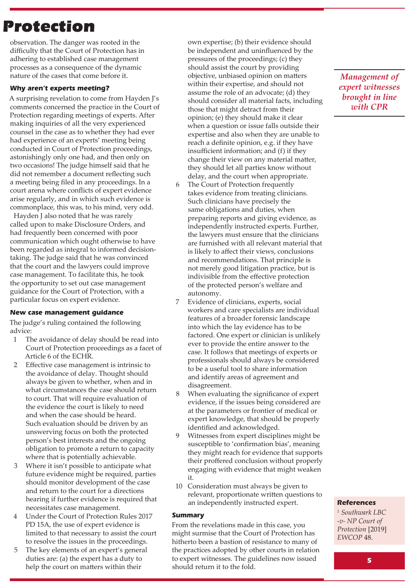# **Protection**

observation. The danger was rooted in the difficulty that the Court of Protection has in adhering to established case management processes as a consequence of the dynamic nature of the cases that come before it.

### **Why aren't experts meeting?**

A surprising revelation to come from Hayden J's comments concerned the practice in the Court of Protection regarding meetings of experts. After making inquiries of all the very experienced counsel in the case as to whether they had ever had experience of an experts' meeting being conducted in Court of Protection proceedings, astonishingly only one had, and then only on two occasions! The judge himself said that he did not remember a document reflecting such a meeting being filed in any proceedings. In a court arena where conflicts of expert evidence arise regularly, and in which such evidence is commonplace, this was, to his mind, very odd.

Hayden J also noted that he was rarely called upon to make Disclosure Orders, and had frequently been concerned with poor communication which ought otherwise to have been regarded as integral to informed decisiontaking. The judge said that he was convinced that the court and the lawyers could improve case management. To facilitate this, he took the opportunity to set out case management guidance for the Court of Protection, with a particular focus on expert evidence.

### **New case management guidance**

The judge's ruling contained the following advice:

- 1 The avoidance of delay should be read into Court of Protection proceedings as a facet of Article 6 of the ECHR.
- 2 Effective case management is intrinsic to the avoidance of delay. Thought should always be given to whether, when and in what circumstances the case should return to court. That will require evaluation of the evidence the court is likely to need and when the case should be heard. Such evaluation should be driven by an unswerving focus on both the protected person's best interests and the ongoing obligation to promote a return to capacity where that is potentially achievable.
- 3 Where it isn't possible to anticipate what future evidence might be required, parties should monitor development of the case and return to the court for a directions hearing if further evidence is required that necessitates case management.
- 4 Under the Court of Protection Rules 2017 PD 15A, the use of expert evidence is limited to that necessary to assist the court to resolve the issues in the proceedings.
- The key elements of an expert's general duties are: (a) the expert has a duty to help the court on matters within their

own expertise; (b) their evidence should be independent and uninfluenced by the pressures of the proceedings; (c) they should assist the court by providing objective, unbiased opinion on matters within their expertise, and should not assume the role of an advocate; (d) they should consider all material facts, including those that might detract from their opinion; (e) they should make it clear when a question or issue falls outside their expertise and also when they are unable to reach a definite opinion, e.g. if they have insufficient information; and (f) if they change their view on any material matter, they should let all parties know without delay, and the court when appropriate.

- 6 The Court of Protection frequently takes evidence from treating clinicians. Such clinicians have precisely the same obligations and duties, when preparing reports and giving evidence, as independently instructed experts. Further, the lawyers must ensure that the clinicians are furnished with all relevant material that is likely to affect their views, conclusions and recommendations. That principle is not merely good litigation practice, but is indivisible from the effective protection of the protected person's welfare and autonomy.
- 7 Evidence of clinicians, experts, social workers and care specialists are individual features of a broader forensic landscape into which the lay evidence has to be factored. One expert or clinician is unlikely ever to provide the entire answer to the case. It follows that meetings of experts or professionals should always be considered to be a useful tool to share information and identify areas of agreement and disagreement.
- 8 When evaluating the significance of expert evidence, if the issues being considered are at the parameters or frontier of medical or expert knowledge, that should be properly identified and acknowledged.
- 9 Witnesses from expert disciplines might be susceptible to 'confirmation bias', meaning they might reach for evidence that supports their proffered conclusion without properly engaging with evidence that might weaken it.
- 10 Consideration must always be given to relevant, proportionate written questions to an independently instructed expert.

#### **Summary**

From the revelations made in this case, you might surmise that the Court of Protection has hitherto been a bastion of resistance to many of the practices adopted by other courts in relation to expert witnesses. The guidelines now issued should return it to the fold.

*Management of expert witnesses brought in line with CPR*

### **References**

*<sup>1</sup> Southwark LBC -v- NP Court of Protection* [2019] *EWCOP* 48.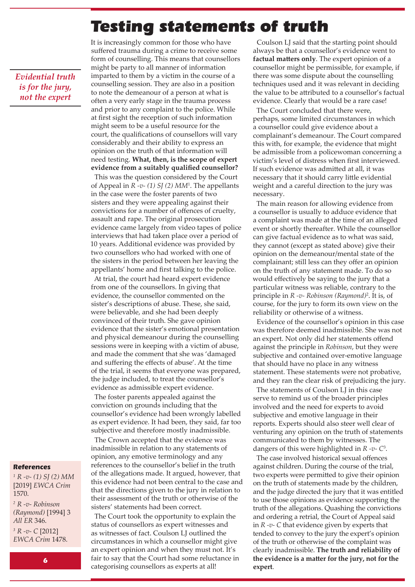# Testing statements of truth

*Evidential truth is for the jury, not the expert*

It is increasingly common for those who have suffered trauma during a crime to receive some form of counselling. This means that counsellors might be party to all manner of information imparted to them by a victim in the course of a counselling session. They are also in a position to note the demeanour of a person at what is often a very early stage in the trauma process and prior to any complaint to the police. While at first sight the reception of such information might seem to be a useful resource for the court, the qualifications of counsellors will vary considerably and their ability to express an opinion on the truth of that information will need testing. **What, then, is the scope of expert evidence from a suitably qualified counsellor?**

This was the question considered by the Court of Appeal in *R -v- (1) SJ (2) MM*<sup>1</sup> . The appellants in the case were the foster parents of two sisters and they were appealing against their convictions for a number of offences of cruelty, assault and rape. The original prosecution evidence came largely from video tapes of police interviews that had taken place over a period of 10 years. Additional evidence was provided by two counsellors who had worked with one of the sisters in the period between her leaving the appellants' home and first talking to the police.

At trial, the court had heard expert evidence from one of the counsellors. In giving that evidence, the counsellor commented on the sister's descriptions of abuse. These, she said, were believable, and she had been deeply convinced of their truth. She gave opinion evidence that the sister's emotional presentation and physical demeanour during the counselling sessions were in keeping with a victim of abuse, and made the comment that she was 'damaged and suffering the effects of abuse'. At the time of the trial, it seems that everyone was prepared, the judge included, to treat the counsellor's evidence as admissible expert evidence.

The foster parents appealed against the conviction on grounds including that the counsellor's evidence had been wrongly labelled as expert evidence. It had been, they said, far too subjective and therefore mostly inadmissible.

The Crown accepted that the evidence was inadmissible in relation to any statements of opinion, any emotive terminology and any references to the counsellor's belief in the truth of the allegations made. It argued, however, that this evidence had not been central to the case and that the directions given to the jury in relation to their assessment of the truth or otherwise of the sisters' statements had been correct.

The Court took the opportunity to explain the status of counsellors as expert witnesses and as witnesses of fact. Coulson LJ outlined the circumstances in which a counsellor might give an expert opinion and when they must not. It's fair to say that the Court had some reluctance in categorising counsellors as experts at all! **expert**. **<sup>6</sup>**

Coulson LJ said that the starting point should always be that a counsellor's evidence went to **factual matters only**. The expert opinion of a counsellor might be permissible, for example, if there was some dispute about the counselling techniques used and it was relevant in deciding the value to be attributed to a counsellor's factual evidence. Clearly that would be a rare case!

The Court concluded that there were, perhaps, some limited circumstances in which a counsellor could give evidence about a complainant's demeanour. The Court compared this with, for example, the evidence that might be admissible from a policewoman concerning a victim's level of distress when first interviewed. If such evidence was admitted at all, it was necessary that it should carry little evidential weight and a careful direction to the jury was necessary.

The main reason for allowing evidence from a counsellor is usually to adduce evidence that a complaint was made at the time of an alleged event or shortly thereafter. While the counsellor can give factual evidence as to what was said, they cannot (except as stated above) give their opinion on the demeanour/mental state of the complainant; still less can they offer an opinion on the truth of any statement made. To do so would effectively be saying to the jury that a particular witness was reliable, contrary to the principle in *R -v- Robinson (Raymond)*<sup>2</sup> . It is, of course, for the jury to form its own view on the reliability or otherwise of a witness.

Evidence of the counsellor's opinion in this case was therefore deemed inadmissible. She was not an expert. Not only did her statements offend against the principle in *Robinson*, but they were subjective and contained over-emotive language that should have no place in any witness statement. These statements were not probative, and they ran the clear risk of prejudicing the jury.

The statements of Coulson LJ in this case serve to remind us of the broader principles involved and the need for experts to avoid subjective and emotive language in their reports. Experts should also steer well clear of venturing any opinion on the truth of statements communicated to them by witnesses. The dangers of this were highlighted in *R -v- C*<sup>3</sup> .

The case involved historical sexual offences against children. During the course of the trial, two experts were permitted to give their opinion on the truth of statements made by the children, and the judge directed the jury that it was entitled to use those opinions as evidence supporting the truth of the allegations. Quashing the convictions and ordering a retrial, the Court of Appeal said in *R -v- C* that evidence given by experts that tended to convey to the jury the expert's opinion of the truth or otherwise of the complaint was clearly inadmissible. **The truth and reliability of the evidence is a matter for the jury, not for the** 

### **References**

*<sup>1</sup> R -v- (1) SJ (2) MM* [2019] *EWCA Crim*  1570.

*<sup>2</sup> R -v- Robinson (Raymond)* [1994] 3 *All ER* 346.

*<sup>3</sup> R -v- C* [2012] *EWCA Crim* 1478.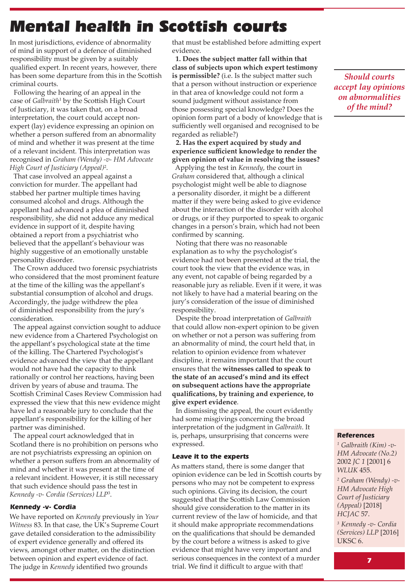# Mental health in Scottish courts

In most jurisdictions, evidence of abnormality of mind in support of a defence of diminished responsibility must be given by a suitably qualified expert. In recent years, however, there has been some departure from this in the Scottish criminal courts.

Following the hearing of an appeal in the case of *Galbraith*<sup>1</sup> by the Scottish High Court of Justiciary, it was taken that, on a broad interpretation, the court could accept nonexpert (lay) evidence expressing an opinion on whether a person suffered from an abnormality of mind and whether it was present at the time of a relevant incident. This interpretation was recognised in *Graham (Wendy) -v- HM Advocate High Court of Justiciary (Appeal)*<sup>2</sup> .

That case involved an appeal against a conviction for murder. The appellant had stabbed her partner multiple times having consumed alcohol and drugs. Although the appellant had advanced a plea of diminished responsibility, she did not adduce any medical evidence in support of it, despite having obtained a report from a psychiatrist who believed that the appellant's behaviour was highly suggestive of an emotionally unstable personality disorder.

The Crown adduced two forensic psychiatrists who considered that the most prominent feature at the time of the killing was the appellant's substantial consumption of alcohol and drugs. Accordingly, the judge withdrew the plea of diminished responsibility from the jury's consideration.

The appeal against conviction sought to adduce new evidence from a Chartered Psychologist on the appellant's psychological state at the time of the killing. The Chartered Psychologist's evidence advanced the view that the appellant would not have had the capacity to think rationally or control her reactions, having been driven by years of abuse and trauma. The Scottish Criminal Cases Review Commission had expressed the view that this new evidence might have led a reasonable jury to conclude that the appellant's responsibility for the killing of her partner was diminished.

The appeal court acknowledged that in Scotland there is no prohibition on persons who are not psychiatrists expressing an opinion on whether a person suffers from an abnormality of mind and whether it was present at the time of a relevant incident. However, it is still necessary that such evidence should pass the test in *Kennedy -v- Cordia (Services) LLP*<sup>3</sup> .

### **Kennedy -v- Cordia**

We have reported on *Kennedy* previously in *Your Witness* 83. In that case, the UK's Supreme Court gave detailed consideration to the admissibility of expert evidence generally and offered its views, amongst other matter, on the distinction between opinion and expert evidence of fact. The judge in *Kennedy* identified two grounds

that must be established before admitting expert evidence.

**1. Does the subject matter fall within that class of subjects upon which expert testimony is permissible?** (i.e. Is the subject matter such that a person without instruction or experience in that area of knowledge could not form a sound judgment without assistance from those possessing special knowledge? Does the opinion form part of a body of knowledge that is sufficiently well organised and recognised to be regarded as reliable?)

### **2. Has the expert acquired by study and experience sufficient knowledge to render the given opinion of value in resolving the issues?**

Applying the test in *Kennedy*, the court in *Graham* considered that, although a clinical psychologist might well be able to diagnose a personality disorder, it might be a different matter if they were being asked to give evidence about the interaction of the disorder with alcohol or drugs, or if they purported to speak to organic changes in a person's brain, which had not been confirmed by scanning.

Noting that there was no reasonable explanation as to why the psychologist's evidence had not been presented at the trial, the court took the view that the evidence was, in any event, not capable of being regarded by a reasonable jury as reliable. Even if it were, it was not likely to have had a material bearing on the jury's consideration of the issue of diminished responsibility.

Despite the broad interpretation of *Galbraith* that could allow non-expert opinion to be given on whether or not a person was suffering from an abnormality of mind, the court held that, in relation to opinion evidence from whatever discipline, it remains important that the court ensures that the **witnesses called to speak to the state of an accused's mind and its effect on subsequent actions have the appropriate qualifications, by training and experience, to give expert evidence**.

In dismissing the appeal, the court evidently had some misgivings concerning the broad interpretation of the judgment in *Galbraith*. It is, perhaps, unsurprising that concerns were expressed.

### **Leave it to the experts**

As matters stand, there is some danger that opinion evidence can be led in Scottish courts by persons who may not be competent to express such opinions. Giving its decision, the court suggested that the Scottish Law Commission should give consideration to the matter in its current review of the law of homicide, and that it should make appropriate recommendations on the qualifications that should be demanded by the court before a witness is asked to give evidence that might have very important and serious consequences in the context of a murder trial. We find it difficult to argue with that!

*Should courts accept lay opinions on abnormalities of the mind?*

### **References**

*<sup>1</sup> Galbraith (Kim) -v-HM Advocate (No.2)*  2002 *JC 1* [2001] 6 *WLUK* 455.

*<sup>2</sup> Graham (Wendy) -v-HM Advocate High Court of Justiciary (Appeal)* [2018] *HCJAC* 57.

*<sup>3</sup> Kennedy -v- Cordia (Services) LLP* [2016] UKSC 6.